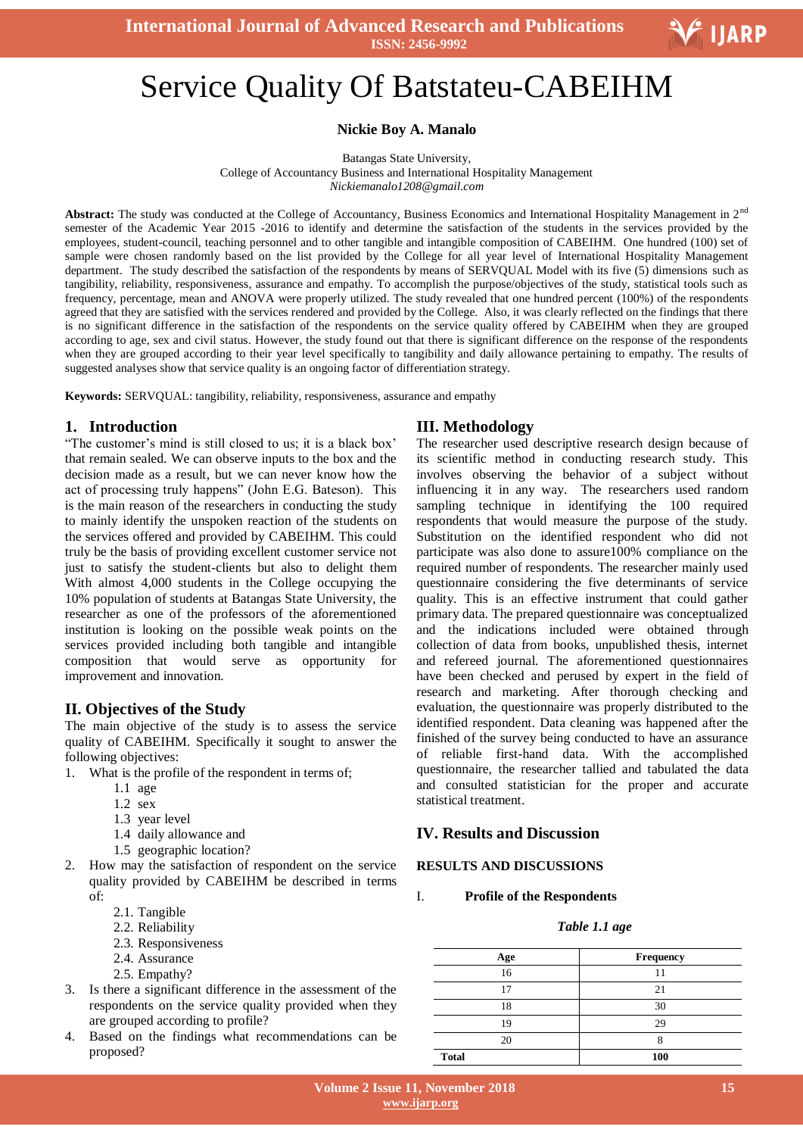

# -<br>" Service Quality Of Batstateu-CABEIHM

## **Nickie Boy A. Manalo**

Batangas State University, College of Accountancy Business and International Hospitality Management *Nickiemanalo1208@gmail.com*

Abstract: The study was conducted at the College of Accountancy, Business Economics and International Hospitality Management in 2<sup>nd</sup> semester of the Academic Year 2015 -2016 to identify and determine the satisfaction of the students in the services provided by the employees, student-council, teaching personnel and to other tangible and intangible composition of CABEIHM. One hundred (100) set of sample were chosen randomly based on the list provided by the College for all year level of International Hospitality Management department. The study described the satisfaction of the respondents by means of SERVQUAL Model with its five (5) dimensions such as tangibility, reliability, responsiveness, assurance and empathy. To accomplish the purpose/objectives of the study, statistical tools such as frequency, percentage, mean and ANOVA were properly utilized. The study revealed that one hundred percent (100%) of the respondents agreed that they are satisfied with the services rendered and provided by the College. Also, it was clearly reflected on the findings that there is no significant difference in the satisfaction of the respondents on the service quality offered by CABEIHM when they are grouped according to age, sex and civil status. However, the study found out that there is significant difference on the response of the respondents when they are grouped according to their year level specifically to tangibility and daily allowance pertaining to empathy. The results of suggested analyses show that service quality is an ongoing factor of differentiation strategy.

**Keywords:** SERVQUAL: tangibility, reliability, responsiveness, assurance and empathy

## **1. Introduction**

"The customer's mind is still closed to us; it is a black box' that remain sealed. We can observe inputs to the box and the decision made as a result, but we can never know how the act of processing truly happens" (John E.G. Bateson). This is the main reason of the researchers in conducting the study to mainly identify the unspoken reaction of the students on the services offered and provided by CABEIHM. This could truly be the basis of providing excellent customer service not just to satisfy the student-clients but also to delight them With almost 4,000 students in the College occupying the 10% population of students at Batangas State University, the researcher as one of the professors of the aforementioned institution is looking on the possible weak points on the services provided including both tangible and intangible composition that would serve as opportunity for improvement and innovation.

# **II. Objectives of the Study**

The main objective of the study is to assess the service quality of CABEIHM. Specifically it sought to answer the following objectives:

- 1. What is the profile of the respondent in terms of;
	- 1.1 age
	- 1.2 sex
	- 1.3 year level
	- 1.4 daily allowance and
	- 1.5 geographic location?
- 2. How may the satisfaction of respondent on the service quality provided by CABEIHM be described in terms of:
	- 2.1. Tangible
	- 2.2. Reliability
	- 2.3. Responsiveness
	- 2.4. Assurance
	- 2.5. Empathy?
- 3. Is there a significant difference in the assessment of the respondents on the service quality provided when they are grouped according to profile?
- 4. Based on the findings what recommendations can be proposed?

## **III. Methodology**

The researcher used descriptive research design because of its scientific method in conducting research study. This involves observing the behavior of a subject without influencing it in any way. The researchers used random sampling technique in identifying the 100 required respondents that would measure the purpose of the study. Substitution on the identified respondent who did not participate was also done to assure100% compliance on the required number of respondents. The researcher mainly used questionnaire considering the five determinants of service quality. This is an effective instrument that could gather primary data. The prepared questionnaire was conceptualized and the indications included were obtained through collection of data from books, unpublished thesis, internet and refereed journal. The aforementioned questionnaires have been checked and perused by expert in the field of research and marketing. After thorough checking and evaluation, the questionnaire was properly distributed to the identified respondent. Data cleaning was happened after the finished of the survey being conducted to have an assurance of reliable first-hand data. With the accomplished questionnaire, the researcher tallied and tabulated the data and consulted statistician for the proper and accurate statistical treatment.

# **IV. Results and Discussion**

## **RESULTS AND DISCUSSIONS**

#### I. **Profile of the Respondents**

#### *Table 1.1 age*

| Age          | Frequency |  |
|--------------|-----------|--|
| 16           |           |  |
| 17           | 21        |  |
| 18           | 30        |  |
| 19           | 29        |  |
| 20           |           |  |
| <b>Total</b> | 100       |  |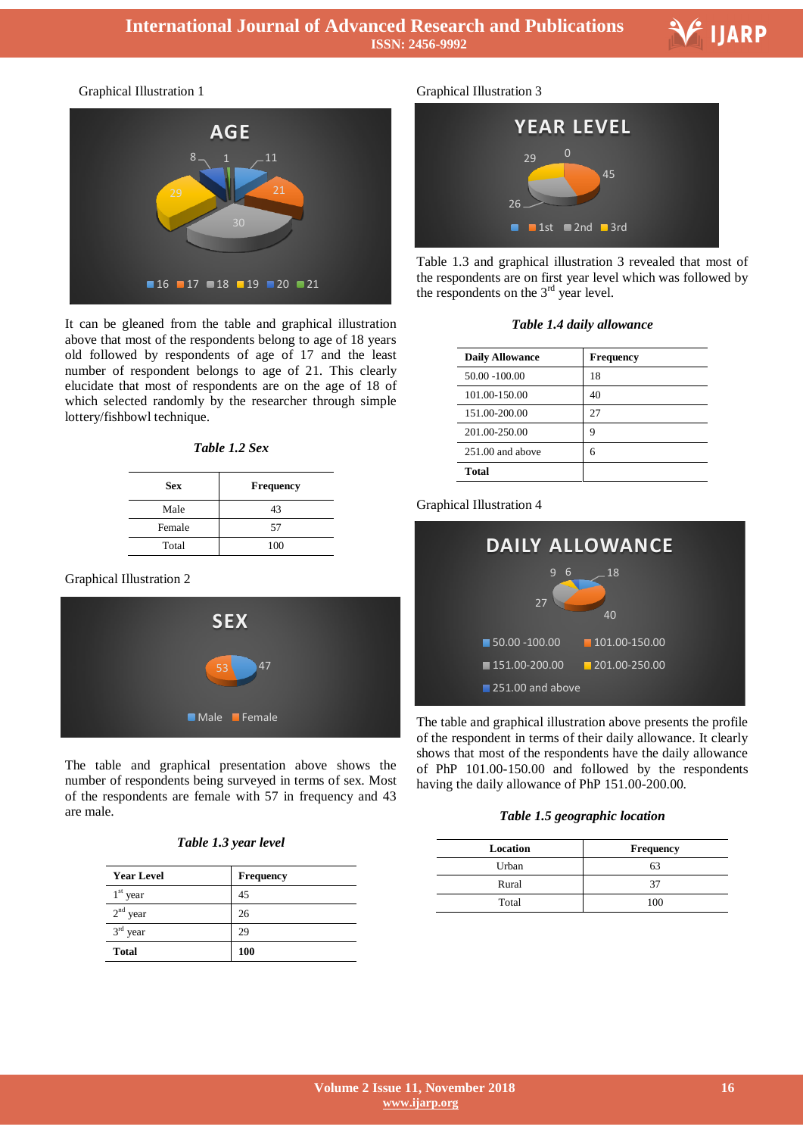

Ξ

Graphical Illustration 1



It can be gleaned from the table and graphical illustration above that most of the respondents belong to age of 18 years old followed by respondents of age of 17 and the least number of respondent belongs to age of 21. This clearly elucidate that most of respondents are on the age of 18 of which selected randomly by the researcher through simple lottery/fishbowl technique.

## *Table 1.2 Sex*

| <b>Sex</b> | <b>Frequency</b> |
|------------|------------------|
| Male       | 43               |
| Female     | 57               |
| Total      | 100              |

#### Graphical Illustration 2



The table and graphical presentation above shows the number of respondents being surveyed in terms of sex. Most of the respondents are female with 57 in frequency and 43 are male.

| Table 1.3 year level |  |  |
|----------------------|--|--|
|                      |  |  |

| <b>Year Level</b> | Frequency  |
|-------------------|------------|
| $1st$ year        | 45         |
| $2nd$ year        | 26         |
| $3rd$ year        | 29         |
| <b>Total</b>      | <b>100</b> |

#### Graphical Illustration 3



Table 1.3 and graphical illustration 3 revealed that most of the respondents are on first year level which was followed by the respondents on the  $3<sup>rd</sup>$  year level.

| <b>Daily Allowance</b> | <b>Frequency</b> |
|------------------------|------------------|
| 50.00 -100.00          | 18               |
| 101.00-150.00          | 40               |
| 151.00-200.00          | 27               |
| 201.00-250.00          | q                |
| $251.00$ and above     | 6                |
| Total                  |                  |

## Graphical Illustration 4



The table and graphical illustration above presents the profile of the respondent in terms of their daily allowance. It clearly shows that most of the respondents have the daily allowance of PhP 101.00-150.00 and followed by the respondents having the daily allowance of PhP 151.00-200.00.

| Location | <b>Frequency</b> |
|----------|------------------|
| Urban    | 63               |
| Rural    | 37               |
| Total    | 100              |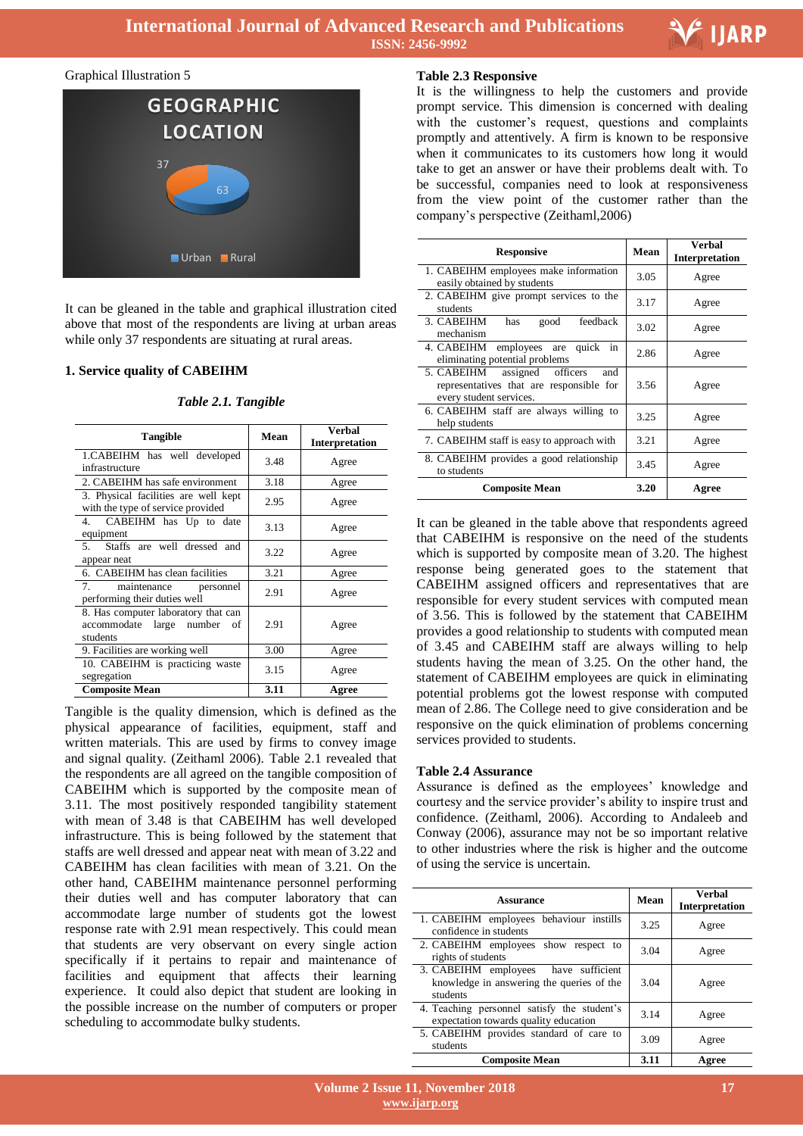

Ξ

#### Graphical Illustration 5



It can be gleaned in the table and graphical illustration cited above that most of the respondents are living at urban areas while only 37 respondents are situating at rural areas.

#### **1. Service quality of CABEIHM**

| <b>Tangible</b>                                                                   | Mean | <b>Verbal</b><br>Interpretation |
|-----------------------------------------------------------------------------------|------|---------------------------------|
| 1.CABEIHM has well developed<br>infrastructure                                    | 3.48 | Agree                           |
| 2. CABEIHM has safe environment                                                   | 3.18 | Agree                           |
| 3. Physical facilities are well kept<br>with the type of service provided         | 2.95 | Agree                           |
| CABEIHM has Up to date<br>4.<br>equipment                                         | 3.13 | Agree                           |
| Staffs are well dressed and<br>5.<br>appear neat                                  | 3.22 | Agree                           |
| 6. CABEIHM has clean facilities                                                   | 3.21 | Agree                           |
| 7.<br>maintenance<br>personnel<br>performing their duties well                    | 2.91 | Agree                           |
| 8. Has computer laboratory that can<br>accommodate large number<br>of<br>students | 2.91 | Agree                           |
| 9. Facilities are working well                                                    | 3.00 | Agree                           |
| 10. CABEIHM is practicing waste<br>segregation                                    | 3.15 | Agree                           |
| <b>Composite Mean</b>                                                             | 3.11 | Agree                           |

*Table 2.1. Tangible*

Tangible is the quality dimension, which is defined as the physical appearance of facilities, equipment, staff and written materials. This are used by firms to convey image and signal quality. (Zeithaml 2006). Table 2.1 revealed that the respondents are all agreed on the tangible composition of CABEIHM which is supported by the composite mean of 3.11. The most positively responded tangibility statement with mean of 3.48 is that CABEIHM has well developed infrastructure. This is being followed by the statement that staffs are well dressed and appear neat with mean of 3.22 and CABEIHM has clean facilities with mean of 3.21. On the other hand, CABEIHM maintenance personnel performing their duties well and has computer laboratory that can accommodate large number of students got the lowest response rate with 2.91 mean respectively. This could mean that students are very observant on every single action specifically if it pertains to repair and maintenance of facilities and equipment that affects their learning experience. It could also depict that student are looking in the possible increase on the number of computers or proper scheduling to accommodate bulky students.

#### **Table 2.3 Responsive**

It is the willingness to help the customers and provide prompt service. This dimension is concerned with dealing with the customer's request, questions and complaints promptly and attentively. A firm is known to be responsive when it communicates to its customers how long it would take to get an answer or have their problems dealt with. To be successful, companies need to look at responsiveness from the view point of the customer rather than the company's perspective (Zeithaml,2006)

| <b>Responsive</b>                                                                                             | Mean | Verbal<br><b>Interpretation</b> |
|---------------------------------------------------------------------------------------------------------------|------|---------------------------------|
| 1. CABEIHM employees make information<br>easily obtained by students                                          | 3.05 | Agree                           |
| 2. CABEIHM give prompt services to the<br>students                                                            | 3.17 | Agree                           |
| 3. CABEIHM<br>feedback<br>has<br>good<br>mechanism                                                            | 3.02 | Agree                           |
| 4. CABEIHM employees are quick<br>in<br>eliminating potential problems                                        | 2.86 | Agree                           |
| 5. CABEIHM<br>assigned officers<br>and<br>representatives that are responsible for<br>every student services. | 3.56 | Agree                           |
| 6. CABEIHM staff are always willing to<br>help students                                                       | 3.25 | Agree                           |
| 7. CABEIHM staff is easy to approach with                                                                     | 3.21 | Agree                           |
| 8. CABEIHM provides a good relationship<br>to students                                                        | 3.45 | Agree                           |
| <b>Composite Mean</b>                                                                                         | 3.20 | Agree                           |

It can be gleaned in the table above that respondents agreed that CABEIHM is responsive on the need of the students which is supported by composite mean of 3.20. The highest response being generated goes to the statement that CABEIHM assigned officers and representatives that are responsible for every student services with computed mean of 3.56. This is followed by the statement that CABEIHM provides a good relationship to students with computed mean of 3.45 and CABEIHM staff are always willing to help students having the mean of 3.25. On the other hand, the statement of CABEIHM employees are quick in eliminating potential problems got the lowest response with computed mean of 2.86. The College need to give consideration and be responsive on the quick elimination of problems concerning services provided to students.

#### **Table 2.4 Assurance**

Assurance is defined as the employees' knowledge and courtesy and the service provider's ability to inspire trust and confidence. (Zeithaml, 2006). According to Andaleeb and Conway (2006), assurance may not be so important relative to other industries where the risk is higher and the outcome of using the service is uncertain.

| <b>Assurance</b>                                                                                 | Mean | <b>Verbal</b><br><b>Interpretation</b> |
|--------------------------------------------------------------------------------------------------|------|----------------------------------------|
| 1. CABEIHM employees behaviour instills<br>confidence in students                                | 3.25 | Agree                                  |
| 2. CABEIHM employees show respect to<br>rights of students                                       | 3.04 | Agree                                  |
| 3. CABEIHM employees<br>have sufficient<br>knowledge in answering the queries of the<br>students | 3.04 | Agree                                  |
| 4. Teaching personnel satisfy the student's<br>expectation towards quality education             | 3.14 | Agree                                  |
| 5. CABEIHM provides standard of care to<br>students                                              | 3.09 | Agree                                  |
| <b>Composite Mean</b>                                                                            | 3.11 | Agree                                  |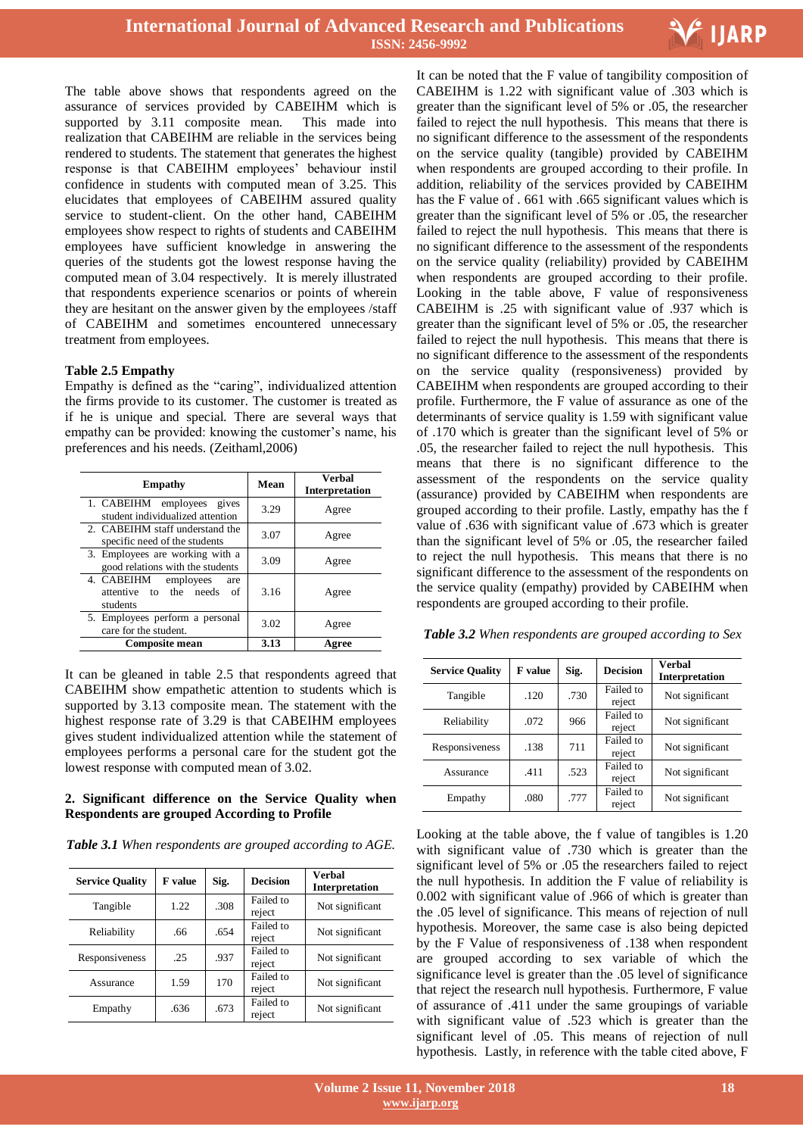

The table above shows that respondents agreed on the assurance of services provided by CABEIHM which is supported by 3.11 composite mean. This made into realization that CABEIHM are reliable in the services being rendered to students. The statement that generates the highest response is that CABEIHM employees' behaviour instil confidence in students with computed mean of 3.25. This elucidates that employees of CABEIHM assured quality service to student-client. On the other hand, CABEIHM employees show respect to rights of students and CABEIHM employees have sufficient knowledge in answering the queries of the students got the lowest response having the computed mean of 3.04 respectively. It is merely illustrated that respondents experience scenarios or points of wherein they are hesitant on the answer given by the employees /staff of CABEIHM and sometimes encountered unnecessary treatment from employees.

## **Table 2.5 Empathy**

Empathy is defined as the "caring", individualized attention the firms provide to its customer. The customer is treated as if he is unique and special. There are several ways that empathy can be provided: knowing the customer's name, his preferences and his needs. (Zeithaml,2006)

| <b>Empathy</b>                                                             | Mean | <b>Verbal</b><br><b>Interpretation</b> |
|----------------------------------------------------------------------------|------|----------------------------------------|
| 1. CABEIHM employees gives<br>student individualized attention             | 3.29 | Agree                                  |
| 2. CABEIHM staff understand the<br>specific need of the students           | 3.07 | Agree                                  |
| 3. Employees are working with a<br>good relations with the students        | 3.09 | Agree                                  |
| 4. CABEIHM<br>employees<br>are<br>attentive to the needs<br>of<br>students | 3.16 | Agree                                  |
| 5. Employees perform a personal<br>care for the student.                   | 3.02 | Agree                                  |
| Composite mean                                                             | 3.13 | Agree                                  |

It can be gleaned in table 2.5 that respondents agreed that CABEIHM show empathetic attention to students which is supported by 3.13 composite mean. The statement with the highest response rate of 3.29 is that CABEIHM employees gives student individualized attention while the statement of employees performs a personal care for the student got the lowest response with computed mean of 3.02.

#### **2. Significant difference on the Service Quality when Respondents are grouped According to Profile**

*Table 3.1 When respondents are grouped according to AGE.*

| <b>Service Quality</b> | <b>F</b> value | Sig. | <b>Decision</b>     | Verbal<br><b>Interpretation</b> |
|------------------------|----------------|------|---------------------|---------------------------------|
| Tangible               | 1.22           | .308 | Failed to<br>reject | Not significant                 |
| Reliability            | .66            | .654 | Failed to<br>reject | Not significant                 |
| Responsiveness         | .25            | .937 | Failed to<br>reject | Not significant                 |
| Assurance              | 1.59           | 170  | Failed to<br>reject | Not significant                 |
| Empathy                | .636           | .673 | Failed to<br>reject | Not significant                 |

 It can be noted that the F value of tangibility composition of CABEIHM is 1.22 with significant value of .303 which is greater than the significant level of 5% or .05, the researcher failed to reject the null hypothesis. This means that there is no significant difference to the assessment of the respondents on the service quality (tangible) provided by CABEIHM when respondents are grouped according to their profile. In addition, reliability of the services provided by CABEIHM has the F value of . 661 with .665 significant values which is greater than the significant level of 5% or .05, the researcher failed to reject the null hypothesis. This means that there is no significant difference to the assessment of the respondents on the service quality (reliability) provided by CABEIHM when respondents are grouped according to their profile. Looking in the table above, F value of responsiveness CABEIHM is .25 with significant value of .937 which is greater than the significant level of 5% or .05, the researcher failed to reject the null hypothesis. This means that there is no significant difference to the assessment of the respondents on the service quality (responsiveness) provided by CABEIHM when respondents are grouped according to their profile. Furthermore, the F value of assurance as one of the determinants of service quality is 1.59 with significant value of .170 which is greater than the significant level of 5% or .05, the researcher failed to reject the null hypothesis. This means that there is no significant difference to the assessment of the respondents on the service quality (assurance) provided by CABEIHM when respondents are grouped according to their profile. Lastly, empathy has the f value of .636 with significant value of .673 which is greater than the significant level of 5% or .05, the researcher failed to reject the null hypothesis. This means that there is no significant difference to the assessment of the respondents on the service quality (empathy) provided by CABEIHM when respondents are grouped according to their profile.

| <b>Service Quality</b> | <b>F</b> value | Sig. | <b>Decision</b>     | <b>Verbal</b><br><b>Interpretation</b> |
|------------------------|----------------|------|---------------------|----------------------------------------|
| Tangible               | .120           | .730 | Failed to<br>reject | Not significant                        |
| Reliability            | .072           | 966  | Failed to<br>reject | Not significant                        |
| Responsiveness         | .138           | 711  | Failed to<br>reject | Not significant                        |
| Assurance              | .411           | .523 | Failed to<br>reject | Not significant                        |
| Empathy                | .080           | .777 | Failed to<br>reject | Not significant                        |

*Table 3.2 When respondents are grouped according to Sex*

Looking at the table above, the f value of tangibles is 1.20 with significant value of .730 which is greater than the significant level of 5% or .05 the researchers failed to reject the null hypothesis. In addition the F value of reliability is 0.002 with significant value of .966 of which is greater than the .05 level of significance. This means of rejection of null hypothesis. Moreover, the same case is also being depicted by the F Value of responsiveness of .138 when respondent are grouped according to sex variable of which the significance level is greater than the .05 level of significance that reject the research null hypothesis. Furthermore, F value of assurance of .411 under the same groupings of variable with significant value of .523 which is greater than the significant level of .05. This means of rejection of null hypothesis. Lastly, in reference with the table cited above, F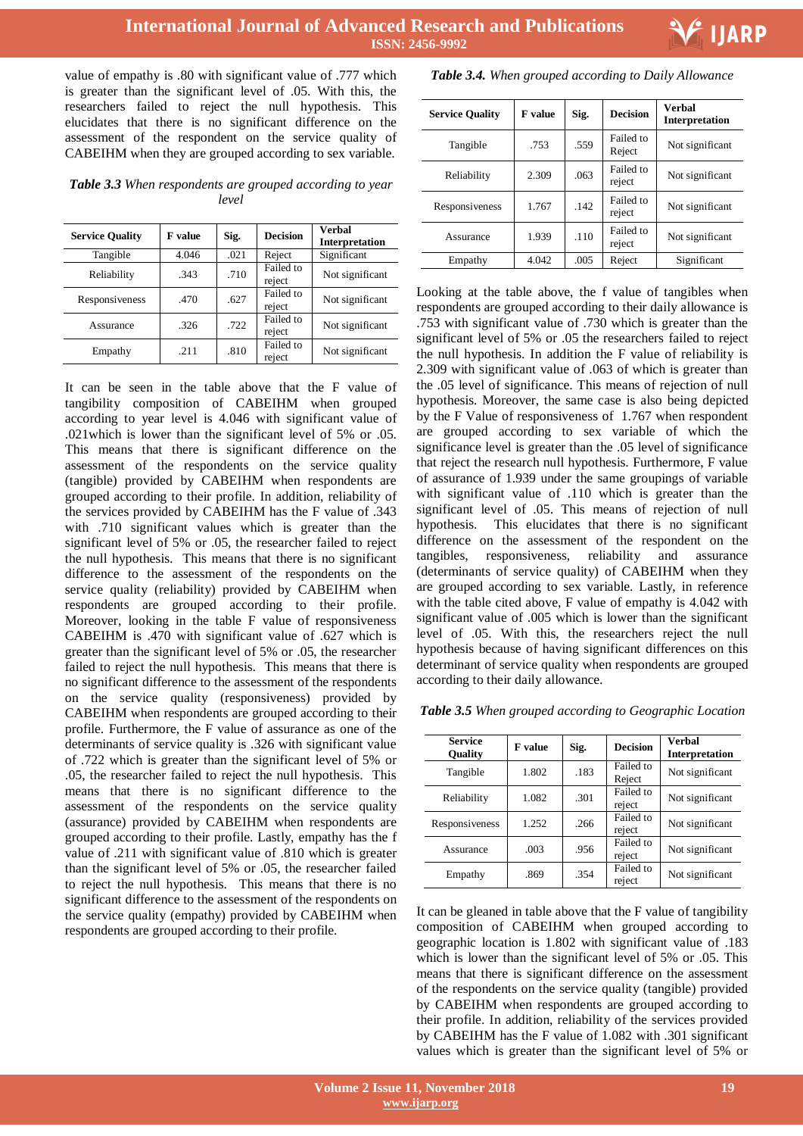value of empathy is .80 with significant value of .777 which is greater than the significant level of .05. With this, the researchers failed to reject the null hypothesis. This elucidates that there is no significant difference on the assessment of the respondent on the service quality of CABEIHM when they are grouped according to sex variable.

*Table 3.3 When respondents are grouped according to year level*

| <b>Service Quality</b> | <b>F</b> value | Sig. | <b>Decision</b>     | Verbal<br><b>Interpretation</b> |
|------------------------|----------------|------|---------------------|---------------------------------|
| Tangible               | 4.046          | .021 | Reject              | Significant                     |
| Reliability            | .343           | .710 | Failed to<br>reject | Not significant                 |
| Responsiveness         | .470           | .627 | Failed to<br>reject | Not significant                 |
| Assurance              | .326           | .722 | Failed to<br>reject | Not significant                 |
| Empathy                | .211           | .810 | Failed to<br>reject | Not significant                 |

It can be seen in the table above that the F value of tangibility composition of CABEIHM when grouped according to year level is 4.046 with significant value of .021which is lower than the significant level of 5% or .05. This means that there is significant difference on the assessment of the respondents on the service quality (tangible) provided by CABEIHM when respondents are grouped according to their profile. In addition, reliability of the services provided by CABEIHM has the F value of .343 with .710 significant values which is greater than the significant level of 5% or .05, the researcher failed to reject the null hypothesis. This means that there is no significant difference to the assessment of the respondents on the service quality (reliability) provided by CABEIHM when respondents are grouped according to their profile. Moreover, looking in the table F value of responsiveness CABEIHM is .470 with significant value of .627 which is greater than the significant level of 5% or .05, the researcher failed to reject the null hypothesis. This means that there is no significant difference to the assessment of the respondents on the service quality (responsiveness) provided by CABEIHM when respondents are grouped according to their profile. Furthermore, the F value of assurance as one of the determinants of service quality is .326 with significant value of .722 which is greater than the significant level of 5% or .05, the researcher failed to reject the null hypothesis. This means that there is no significant difference to the assessment of the respondents on the service quality (assurance) provided by CABEIHM when respondents are grouped according to their profile. Lastly, empathy has the f value of .211 with significant value of .810 which is greater than the significant level of 5% or .05, the researcher failed to reject the null hypothesis. This means that there is no significant difference to the assessment of the respondents on the service quality (empathy) provided by CABEIHM when respondents are grouped according to their profile.

*Table 3.4. When grouped according to Daily Allowance*

| <b>Service Quality</b> | <b>F</b> value | Sig. | <b>Decision</b>     | <b>Verhal</b><br><b>Interpretation</b> |
|------------------------|----------------|------|---------------------|----------------------------------------|
| Tangible               | .753           | .559 | Failed to<br>Reject | Not significant                        |
| Reliability            | 2.309          | .063 | Failed to<br>reject | Not significant                        |
| Responsiveness         | 1.767          | .142 | Failed to<br>reject | Not significant                        |
| Assurance              | 1.939          | .110 | Failed to<br>reject | Not significant                        |
| Empathy                | 4.042          | .005 | Reject              | Significant                            |

Looking at the table above, the f value of tangibles when respondents are grouped according to their daily allowance is .753 with significant value of .730 which is greater than the significant level of 5% or .05 the researchers failed to reject the null hypothesis. In addition the F value of reliability is 2.309 with significant value of .063 of which is greater than the .05 level of significance. This means of rejection of null hypothesis. Moreover, the same case is also being depicted by the F Value of responsiveness of 1.767 when respondent are grouped according to sex variable of which the significance level is greater than the .05 level of significance that reject the research null hypothesis. Furthermore, F value of assurance of 1.939 under the same groupings of variable with significant value of .110 which is greater than the significant level of .05. This means of rejection of null hypothesis. This elucidates that there is no significant difference on the assessment of the respondent on the tangibles, responsiveness, reliability and assurance (determinants of service quality) of CABEIHM when they are grouped according to sex variable. Lastly, in reference with the table cited above, F value of empathy is 4.042 with significant value of .005 which is lower than the significant level of .05. With this, the researchers reject the null hypothesis because of having significant differences on this determinant of service quality when respondents are grouped according to their daily allowance.

*Table 3.5 When grouped according to Geographic Location*

| <b>Service</b><br>Quality | <b>F</b> value | Sig. | <b>Decision</b>     | Verbal<br><b>Interpretation</b> |
|---------------------------|----------------|------|---------------------|---------------------------------|
| Tangible                  | 1.802          | .183 | Failed to<br>Reject | Not significant                 |
| Reliability               | 1.082          | .301 | Failed to<br>reject | Not significant                 |
| Responsiveness            | 1.252          | .266 | Failed to<br>reject | Not significant                 |
| Assurance                 | .003           | .956 | Failed to<br>reject | Not significant                 |
| Empathy                   | .869           | .354 | Failed to<br>reject | Not significant                 |

It can be gleaned in table above that the F value of tangibility composition of CABEIHM when grouped according to geographic location is 1.802 with significant value of .183 which is lower than the significant level of 5% or 0.05. This means that there is significant difference on the assessment of the respondents on the service quality (tangible) provided by CABEIHM when respondents are grouped according to their profile. In addition, reliability of the services provided by CABEIHM has the F value of 1.082 with .301 significant values which is greater than the significant level of 5% or